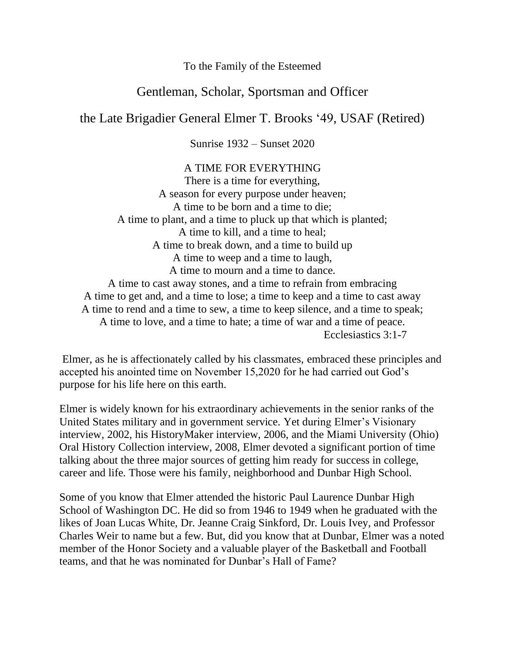To the Family of the Esteemed

## Gentleman, Scholar, Sportsman and Officer

the Late Brigadier General Elmer T. Brooks '49, USAF (Retired)

Sunrise 1932 – Sunset 2020

A TIME FOR EVERYTHING There is a time for everything, A season for every purpose under heaven; A time to be born and a time to die; A time to plant, and a time to pluck up that which is planted; A time to kill, and a time to heal; A time to break down, and a time to build up A time to weep and a time to laugh, A time to mourn and a time to dance. A time to cast away stones, and a time to refrain from embracing A time to get and, and a time to lose; a time to keep and a time to cast away A time to rend and a time to sew, a time to keep silence, and a time to speak; A time to love, and a time to hate; a time of war and a time of peace. Ecclesiastics 3:1-7

Elmer, as he is affectionately called by his classmates, embraced these principles and accepted his anointed time on November 15,2020 for he had carried out God's purpose for his life here on this earth.

Elmer is widely known for his extraordinary achievements in the senior ranks of the United States military and in government service. Yet during Elmer's Visionary interview, 2002, his HistoryMaker interview, 2006, and the Miami University (Ohio) Oral History Collection interview, 2008, Elmer devoted a significant portion of time talking about the three major sources of getting him ready for success in college, career and life. Those were his family, neighborhood and Dunbar High School.

Some of you know that Elmer attended the historic Paul Laurence Dunbar High School of Washington DC. He did so from 1946 to 1949 when he graduated with the likes of Joan Lucas White, Dr. Jeanne Craig Sinkford, Dr. Louis Ivey, and Professor Charles Weir to name but a few. But, did you know that at Dunbar, Elmer was a noted member of the Honor Society and a valuable player of the Basketball and Football teams, and that he was nominated for Dunbar's Hall of Fame?